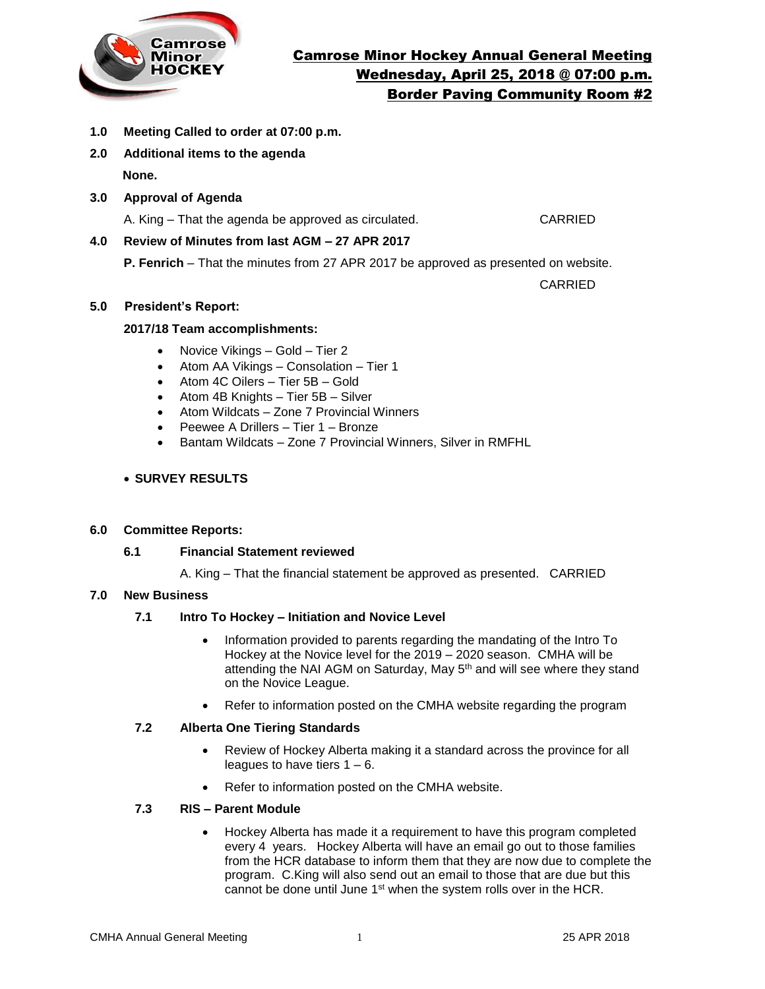

- **1.0 Meeting Called to order at 07:00 p.m.**
- **2.0 Additional items to the agenda None.**
- **3.0 Approval of Agenda**

A. King – That the agenda be approved as circulated. CARRIED

# **4.0 Review of Minutes from last AGM – 27 APR 2017**

**P. Fenrich** – That the minutes from 27 APR 2017 be approved as presented on website.

CARRIED

## **5.0 President's Report:**

## **2017/18 Team accomplishments:**

- Novice Vikings Gold Tier 2
- Atom AA Vikings Consolation Tier 1
- Atom 4C Oilers Tier 5B Gold
- Atom 4B Knights Tier 5B Silver
- Atom Wildcats Zone 7 Provincial Winners
- Peewee A Drillers Tier 1 Bronze
- Bantam Wildcats Zone 7 Provincial Winners, Silver in RMFHL

## **SURVEY RESULTS**

#### **6.0 Committee Reports:**

#### **6.1 Financial Statement reviewed**

A. King – That the financial statement be approved as presented. CARRIED

#### **7.0 New Business**

# **7.1 Intro To Hockey – Initiation and Novice Level**

- Information provided to parents regarding the mandating of the Intro To Hockey at the Novice level for the 2019 – 2020 season. CMHA will be attending the NAI AGM on Saturday, May 5<sup>th</sup> and will see where they stand on the Novice League.
- Refer to information posted on the CMHA website regarding the program

#### **7.2 Alberta One Tiering Standards**

- Review of Hockey Alberta making it a standard across the province for all leagues to have tiers 1 – 6.
- Refer to information posted on the CMHA website.

#### **7.3 RIS – Parent Module**

 Hockey Alberta has made it a requirement to have this program completed every 4 years. Hockey Alberta will have an email go out to those families from the HCR database to inform them that they are now due to complete the program. C.King will also send out an email to those that are due but this cannot be done until June 1<sup>st</sup> when the system rolls over in the HCR.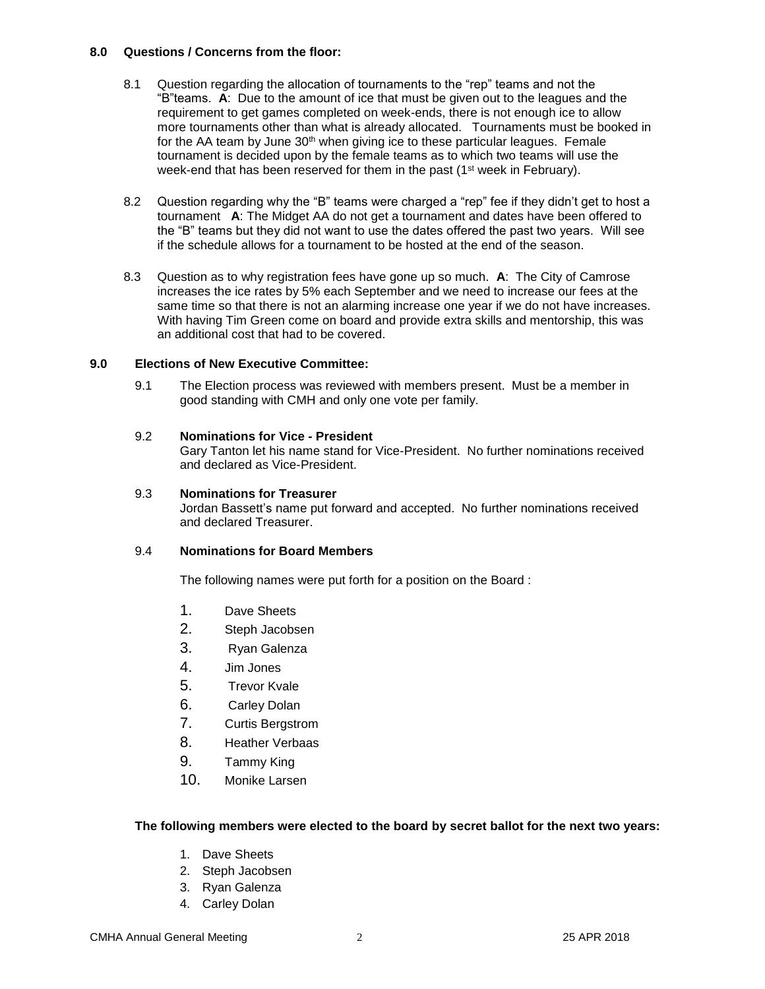#### **8.0 Questions / Concerns from the floor:**

- 8.1 Question regarding the allocation of tournaments to the "rep" teams and not the "B"teams. **A**: Due to the amount of ice that must be given out to the leagues and the requirement to get games completed on week-ends, there is not enough ice to allow more tournaments other than what is already allocated. Tournaments must be booked in for the AA team by June  $30<sup>th</sup>$  when giving ice to these particular leagues. Female tournament is decided upon by the female teams as to which two teams will use the week-end that has been reserved for them in the past (1<sup>st</sup> week in February).
- 8.2 Question regarding why the "B" teams were charged a "rep" fee if they didn't get to host a tournament **A**: The Midget AA do not get a tournament and dates have been offered to the "B" teams but they did not want to use the dates offered the past two years. Will see if the schedule allows for a tournament to be hosted at the end of the season.
- 8.3 Question as to why registration fees have gone up so much. **A**: The City of Camrose increases the ice rates by 5% each September and we need to increase our fees at the same time so that there is not an alarming increase one year if we do not have increases. With having Tim Green come on board and provide extra skills and mentorship, this was an additional cost that had to be covered.

# **9.0 Elections of New Executive Committee:**

9.1 The Election process was reviewed with members present. Must be a member in good standing with CMH and only one vote per family.

#### 9.2 **Nominations for Vice - President**

Gary Tanton let his name stand for Vice-President. No further nominations received and declared as Vice-President.

#### 9.3 **Nominations for Treasurer**

Jordan Bassett's name put forward and accepted. No further nominations received and declared Treasurer.

#### 9.4 **Nominations for Board Members**

The following names were put forth for a position on the Board :

- 1. Dave Sheets
- 2. Steph Jacobsen
- 3. Ryan Galenza
- 4. Jim Jones
- 5. Trevor Kvale
- 6. Carley Dolan
- 7. Curtis Bergstrom
- 8. Heather Verbaas
- 9. Tammy King
- 10. Monike Larsen

#### **The following members were elected to the board by secret ballot for the next two years:**

- 1. Dave Sheets
- 2. Steph Jacobsen
- 3. Ryan Galenza
- 4. Carley Dolan